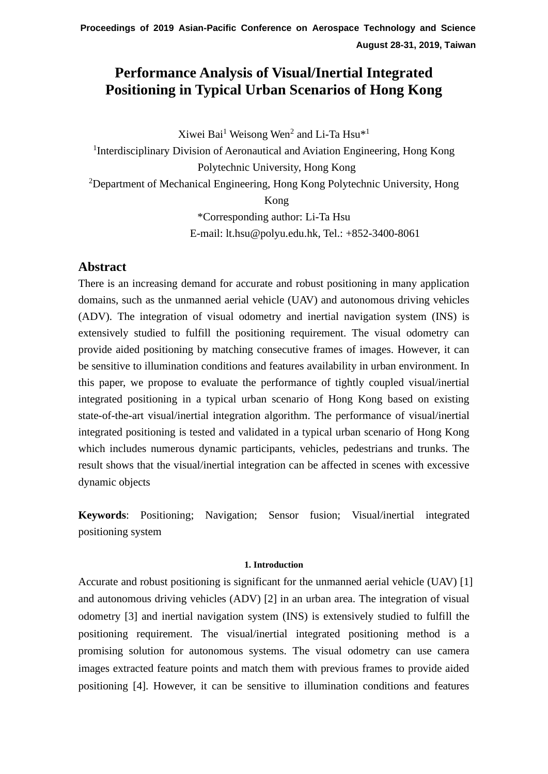**Proceedings of 2019 Asian-Pacific Conference on Aerospace Technology and Science August 28-31, 2019, Taiwan**

# **Performance Analysis of Visual/Inertial Integrated Positioning in Typical Urban Scenarios of Hong Kong**

Xiwei Bai<sup>1</sup> Weisong Wen<sup>2</sup> and Li-Ta Hsu<sup>\*1</sup>

<sup>1</sup>Interdisciplinary Division of Aeronautical and Aviation Engineering, Hong Kong Polytechnic University, Hong Kong

<sup>2</sup>Department of Mechanical Engineering, Hong Kong Polytechnic University, Hong

Kong

\*Corresponding author: Li-Ta Hsu E-mail: lt.hsu@polyu.edu.hk, Tel.: +852-3400-8061

## **Abstract**

There is an increasing demand for accurate and robust positioning in many application domains, such as the unmanned aerial vehicle (UAV) and autonomous driving vehicles (ADV). The integration of visual odometry and inertial navigation system (INS) is extensively studied to fulfill the positioning requirement. The visual odometry can provide aided positioning by matching consecutive frames of images. However, it can be sensitive to illumination conditions and features availability in urban environment. In this paper, we propose to evaluate the performance of tightly coupled visual/inertial integrated positioning in a typical urban scenario of Hong Kong based on existing state-of-the-art visual/inertial integration algorithm. The performance of visual/inertial integrated positioning is tested and validated in a typical urban scenario of Hong Kong which includes numerous dynamic participants, vehicles, pedestrians and trunks. The result shows that the visual/inertial integration can be affected in scenes with excessive dynamic objects

**Keywords**: Positioning; Navigation; Sensor fusion; Visual/inertial integrated positioning system

### **1. Introduction**

Accurate and robust positioning is significant for the unmanned aerial vehicle (UAV) [1] and autonomous driving vehicles (ADV) [2] in an urban area. The integration of visual odometry [3] and inertial navigation system (INS) is extensively studied to fulfill the positioning requirement. The visual/inertial integrated positioning method is a promising solution for autonomous systems. The visual odometry can use camera images extracted feature points and match them with previous frames to provide aided positioning [4]. However, it can be sensitive to illumination conditions and features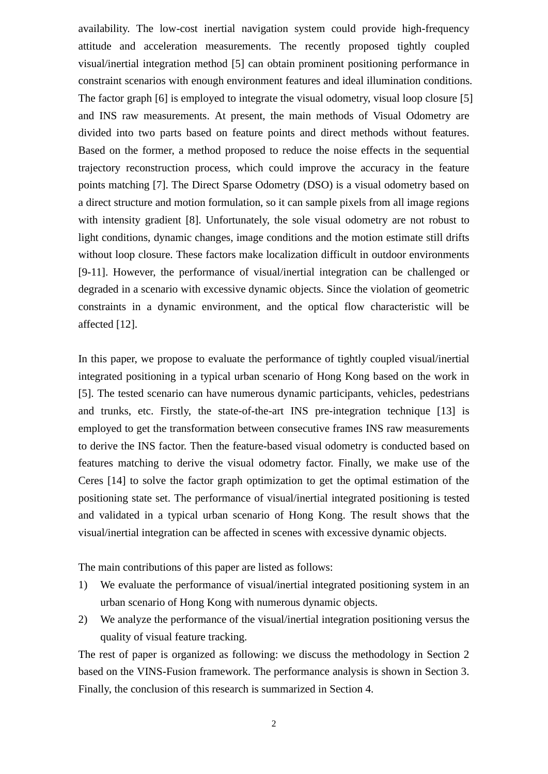availability. The low-cost inertial navigation system could provide high-frequency attitude and acceleration measurements. The recently proposed tightly coupled visual/inertial integration method [5] can obtain prominent positioning performance in constraint scenarios with enough environment features and ideal illumination conditions. The factor graph [6] is employed to integrate the visual odometry, visual loop closure [5] and INS raw measurements. At present, the main methods of Visual Odometry are divided into two parts based on feature points and direct methods without features. Based on the former, a method proposed to reduce the noise effects in the sequential trajectory reconstruction process, which could improve the accuracy in the feature points matching [7]. The Direct Sparse Odometry (DSO) is a visual odometry based on a direct structure and motion formulation, so it can sample pixels from all image regions with intensity gradient [8]. Unfortunately, the sole visual odometry are not robust to light conditions, dynamic changes, image conditions and the motion estimate still drifts without loop closure. These factors make localization difficult in outdoor environments [9-11]. However, the performance of visual/inertial integration can be challenged or degraded in a scenario with excessive dynamic objects. Since the violation of geometric constraints in a dynamic environment, and the optical flow characteristic will be affected [12].

In this paper, we propose to evaluate the performance of tightly coupled visual/inertial integrated positioning in a typical urban scenario of Hong Kong based on the work in [5]. The tested scenario can have numerous dynamic participants, vehicles, pedestrians and trunks, etc. Firstly, the state-of-the-art INS pre-integration technique [13] is employed to get the transformation between consecutive frames INS raw measurements to derive the INS factor. Then the feature-based visual odometry is conducted based on features matching to derive the visual odometry factor. Finally, we make use of the Ceres [14] to solve the factor graph optimization to get the optimal estimation of the positioning state set. The performance of visual/inertial integrated positioning is tested and validated in a typical urban scenario of Hong Kong. The result shows that the visual/inertial integration can be affected in scenes with excessive dynamic objects.

The main contributions of this paper are listed as follows:

- 1) We evaluate the performance of visual/inertial integrated positioning system in an urban scenario of Hong Kong with numerous dynamic objects.
- 2) We analyze the performance of the visual/inertial integration positioning versus the quality of visual feature tracking.

The rest of paper is organized as following: we discuss the methodology in Section 2 based on the VINS-Fusion framework. The performance analysis is shown in Section 3. Finally, the conclusion of this research is summarized in Section 4.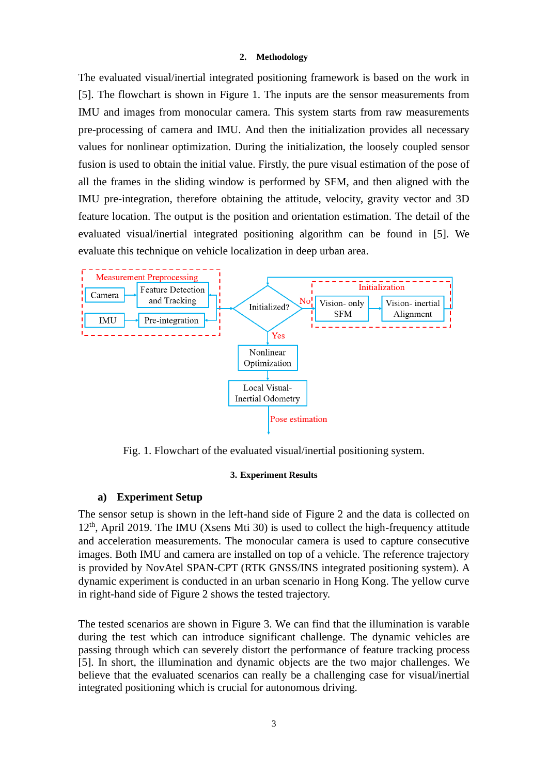#### **2. Methodology**

The evaluated visual/inertial integrated positioning framework is based on the work in [5]. The flowchart is shown in Figure 1. The inputs are the sensor measurements from IMU and images from monocular camera. This system starts from raw measurements pre-processing of camera and IMU. And then the initialization provides all necessary values for nonlinear optimization. During the initialization, the loosely coupled sensor fusion is used to obtain the initial value. Firstly, the pure visual estimation of the pose of all the frames in the sliding window is performed by SFM, and then aligned with the IMU pre-integration, therefore obtaining the attitude, velocity, gravity vector and 3D feature location. The output is the position and orientation estimation. The detail of the evaluated visual/inertial integrated positioning algorithm can be found in [5]. We evaluate this technique on vehicle localization in deep urban area.



Fig. 1. Flowchart of the evaluated visual/inertial positioning system.

#### **3. Experiment Results**

#### **a) Experiment Setup**

The sensor setup is shown in the left-hand side of Figure 2 and the data is collected on  $12<sup>th</sup>$ , April 2019. The IMU (Xsens Mti 30) is used to collect the high-frequency attitude and acceleration measurements. The monocular camera is used to capture consecutive images. Both IMU and camera are installed on top of a vehicle. The reference trajectory is provided by NovAtel SPAN-CPT (RTK GNSS/INS integrated positioning system). A dynamic experiment is conducted in an urban scenario in Hong Kong. The yellow curve in right-hand side of Figure 2 shows the tested trajectory.

The tested scenarios are shown in Figure 3. We can find that the illumination is varable during the test which can introduce significant challenge. The dynamic vehicles are passing through which can severely distort the performance of feature tracking process [5]. In short, the illumination and dynamic objects are the two major challenges. We believe that the evaluated scenarios can really be a challenging case for visual/inertial integrated positioning which is crucial for autonomous driving.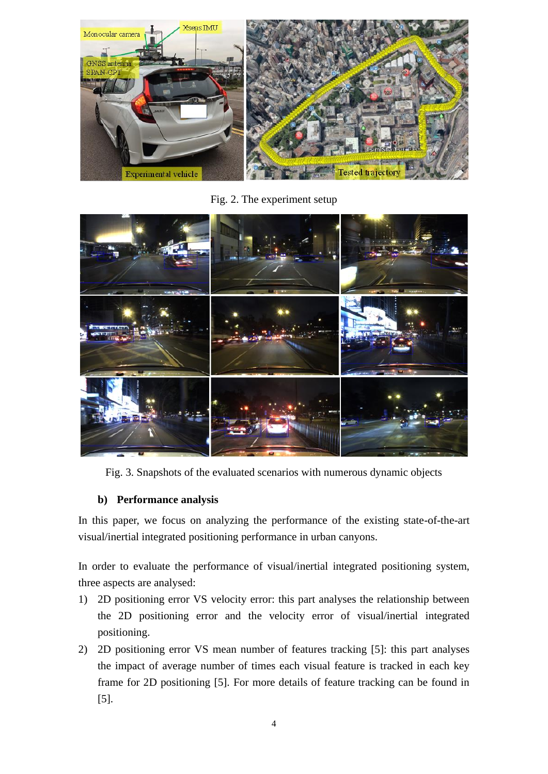

Fig. 2. The experiment setup



Fig. 3. Snapshots of the evaluated scenarios with numerous dynamic objects

### **b) Performance analysis**

In this paper, we focus on analyzing the performance of the existing state-of-the-art visual/inertial integrated positioning performance in urban canyons.

In order to evaluate the performance of visual/inertial integrated positioning system, three aspects are analysed:

- 1) 2D positioning error VS velocity error: this part analyses the relationship between the 2D positioning error and the velocity error of visual/inertial integrated positioning.
- 2) 2D positioning error VS mean number of features tracking [5]: this part analyses the impact of average number of times each visual feature is tracked in each key frame for 2D positioning [5]. For more details of feature tracking can be found in [5].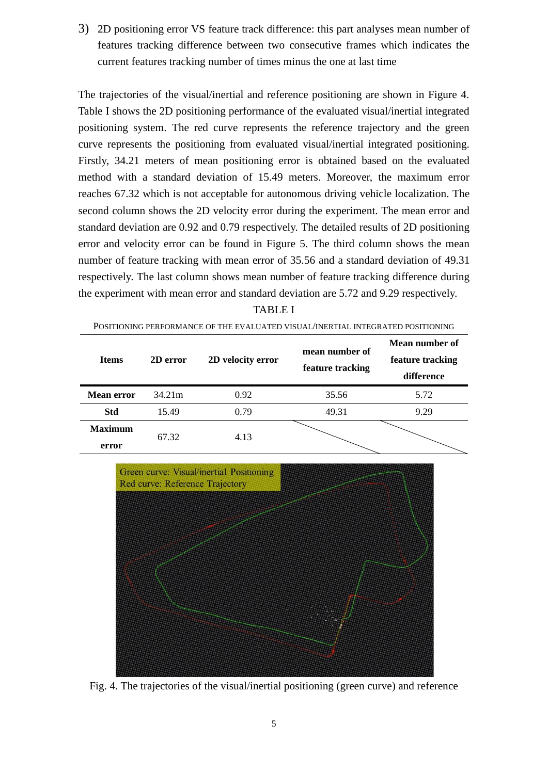3) 2D positioning error VS feature track difference: this part analyses mean number of features tracking difference between two consecutive frames which indicates the current features tracking number of times minus the one at last time

The trajectories of the visual/inertial and reference positioning are shown in Figure 4. Table I shows the 2D positioning performance of the evaluated visual/inertial integrated positioning system. The red curve represents the reference trajectory and the green curve represents the positioning from evaluated visual/inertial integrated positioning. Firstly, 34.21 meters of mean positioning error is obtained based on the evaluated method with a standard deviation of 15.49 meters. Moreover, the maximum error reaches 67.32 which is not acceptable for autonomous driving vehicle localization. The second column shows the 2D velocity error during the experiment. The mean error and standard deviation are 0.92 and 0.79 respectively. The detailed results of 2D positioning error and velocity error can be found in Figure 5. The third column shows the mean number of feature tracking with mean error of 35.56 and a standard deviation of 49.31 respectively. The last column shows mean number of feature tracking difference during the experiment with mean error and standard deviation are 5.72 and 9.29 respectively.

| ۱. |  |
|----|--|
|    |  |

POSITIONING PERFORMANCE OF THE EVALUATED VISUAL/INERTIAL INTEGRATED POSITIONING

| <b>Items</b>      | 2D error      | 2D velocity error | mean number of<br>feature tracking | Mean number of<br>feature tracking<br>difference |
|-------------------|---------------|-------------------|------------------------------------|--------------------------------------------------|
| <b>Mean error</b> | 34.21m        | 0.92              | 35.56                              | 5.72                                             |
| <b>Std</b>        | 15.49         | 0.79              | 49.31                              | 9.29                                             |
| <b>Maximum</b>    | 67.32<br>4.13 |                   |                                    |                                                  |
| error             |               |                   |                                    |                                                  |



Fig. 4. The trajectories of the visual/inertial positioning (green curve) and reference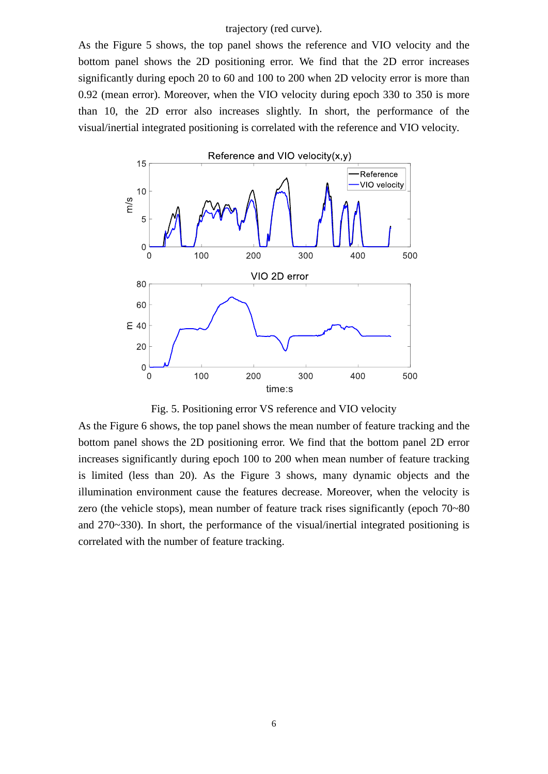### trajectory (red curve).

As the Figure 5 shows, the top panel shows the reference and VIO velocity and the bottom panel shows the 2D positioning error. We find that the 2D error increases significantly during epoch 20 to 60 and 100 to 200 when 2D velocity error is more than 0.92 (mean error). Moreover, when the VIO velocity during epoch 330 to 350 is more than 10, the 2D error also increases slightly. In short, the performance of the visual/inertial integrated positioning is correlated with the reference and VIO velocity.



Fig. 5. Positioning error VS reference and VIO velocity

As the Figure 6 shows, the top panel shows the mean number of feature tracking and the bottom panel shows the 2D positioning error. We find that the bottom panel 2D error increases significantly during epoch 100 to 200 when mean number of feature tracking is limited (less than 20). As the Figure 3 shows, many dynamic objects and the illumination environment cause the features decrease. Moreover, when the velocity is zero (the vehicle stops), mean number of feature track rises significantly (epoch 70~80 and 270~330). In short, the performance of the visual/inertial integrated positioning is correlated with the number of feature tracking.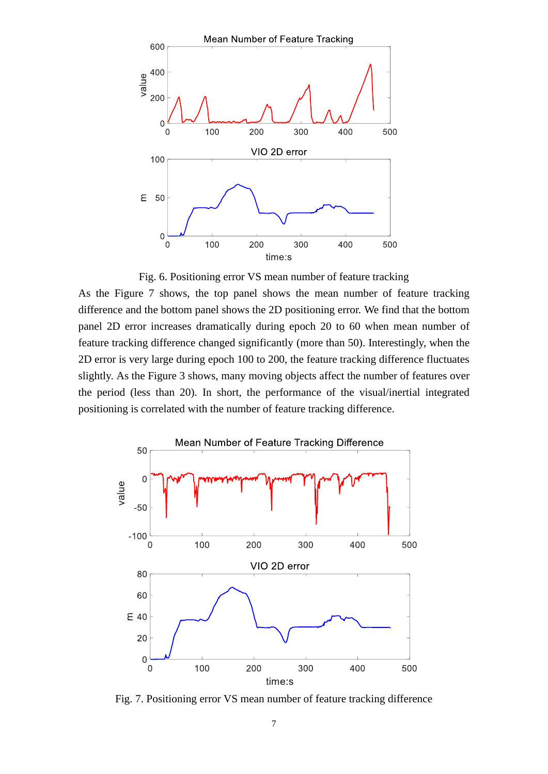

Fig. 6. Positioning error VS mean number of feature tracking

As the Figure 7 shows, the top panel shows the mean number of feature tracking difference and the bottom panel shows the 2D positioning error. We find that the bottom panel 2D error increases dramatically during epoch 20 to 60 when mean number of feature tracking difference changed significantly (more than 50). Interestingly, when the 2D error is very large during epoch 100 to 200, the feature tracking difference fluctuates slightly. As the Figure 3 shows, many moving objects affect the number of features over the period (less than 20). In short, the performance of the visual/inertial integrated positioning is correlated with the number of feature tracking difference.



Fig. 7. Positioning error VS mean number of feature tracking difference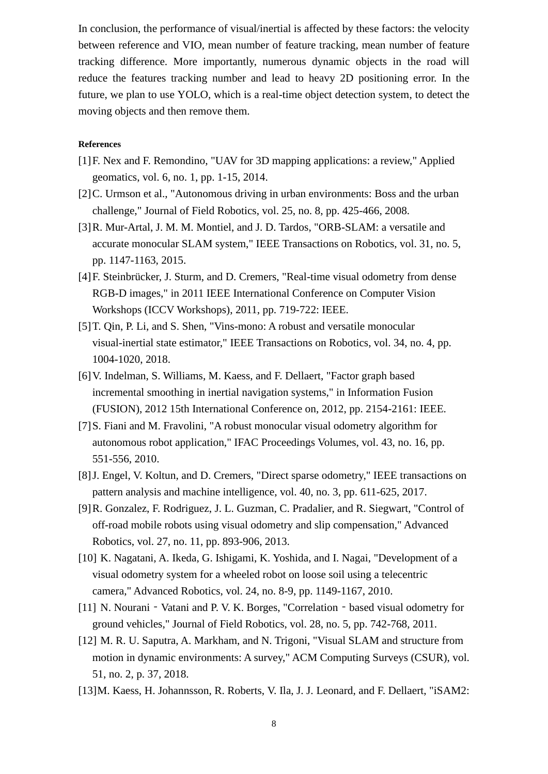In conclusion, the performance of visual/inertial is affected by these factors: the velocity between reference and VIO, mean number of feature tracking, mean number of feature tracking difference. More importantly, numerous dynamic objects in the road will reduce the features tracking number and lead to heavy 2D positioning error. In the future, we plan to use YOLO, which is a real-time object detection system, to detect the moving objects and then remove them.

#### **References**

- [1]F. Nex and F. Remondino, "UAV for 3D mapping applications: a review," Applied geomatics, vol. 6, no. 1, pp. 1-15, 2014.
- [2]C. Urmson et al., "Autonomous driving in urban environments: Boss and the urban challenge," Journal of Field Robotics, vol. 25, no. 8, pp. 425-466, 2008.
- [3]R. Mur-Artal, J. M. M. Montiel, and J. D. Tardos, "ORB-SLAM: a versatile and accurate monocular SLAM system," IEEE Transactions on Robotics, vol. 31, no. 5, pp. 1147-1163, 2015.
- [4]F. Steinbrücker, J. Sturm, and D. Cremers, "Real-time visual odometry from dense RGB-D images," in 2011 IEEE International Conference on Computer Vision Workshops (ICCV Workshops), 2011, pp. 719-722: IEEE.
- [5]T. Qin, P. Li, and S. Shen, "Vins-mono: A robust and versatile monocular visual-inertial state estimator," IEEE Transactions on Robotics, vol. 34, no. 4, pp. 1004-1020, 2018.
- [6]V. Indelman, S. Williams, M. Kaess, and F. Dellaert, "Factor graph based incremental smoothing in inertial navigation systems," in Information Fusion (FUSION), 2012 15th International Conference on, 2012, pp. 2154-2161: IEEE.
- [7]S. Fiani and M. Fravolini, "A robust monocular visual odometry algorithm for autonomous robot application," IFAC Proceedings Volumes, vol. 43, no. 16, pp. 551-556, 2010.
- [8]J. Engel, V. Koltun, and D. Cremers, "Direct sparse odometry," IEEE transactions on pattern analysis and machine intelligence, vol. 40, no. 3, pp. 611-625, 2017.
- [9]R. Gonzalez, F. Rodriguez, J. L. Guzman, C. Pradalier, and R. Siegwart, "Control of off-road mobile robots using visual odometry and slip compensation," Advanced Robotics, vol. 27, no. 11, pp. 893-906, 2013.
- [10] K. Nagatani, A. Ikeda, G. Ishigami, K. Yoshida, and I. Nagai, "Development of a visual odometry system for a wheeled robot on loose soil using a telecentric camera," Advanced Robotics, vol. 24, no. 8-9, pp. 1149-1167, 2010.
- [11] N. Nourani Vatani and P. V. K. Borges, "Correlation based visual odometry for ground vehicles," Journal of Field Robotics, vol. 28, no. 5, pp. 742-768, 2011.
- [12] M. R. U. Saputra, A. Markham, and N. Trigoni, "Visual SLAM and structure from motion in dynamic environments: A survey," ACM Computing Surveys (CSUR), vol. 51, no. 2, p. 37, 2018.
- [13]M. Kaess, H. Johannsson, R. Roberts, V. Ila, J. J. Leonard, and F. Dellaert, "iSAM2: